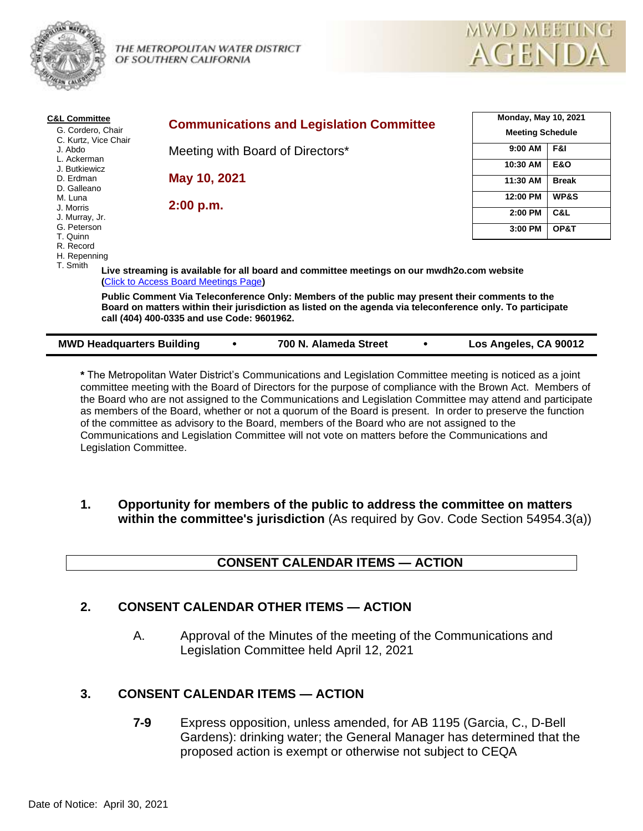

THE METROPOLITAN WATER DISTRICT OF SOUTHERN CALIFORNIA



| <b>C&amp;L Committee</b>         | <b>Communications and Legislation Committee</b>                                                                                                                                                                                                             | <b>Monday, May 10, 2021</b><br><b>Meeting Schedule</b> |                |
|----------------------------------|-------------------------------------------------------------------------------------------------------------------------------------------------------------------------------------------------------------------------------------------------------------|--------------------------------------------------------|----------------|
| G. Cordero, Chair                |                                                                                                                                                                                                                                                             |                                                        |                |
| C. Kurtz, Vice Chair<br>J. Abdo  | Meeting with Board of Directors*                                                                                                                                                                                                                            | 9:00 AM                                                | F&I            |
| L. Ackerman<br>J. Butkiewicz     |                                                                                                                                                                                                                                                             | 10:30 AM                                               | <b>E&amp;O</b> |
| D. Erdman<br>D. Galleano         | May 10, 2021                                                                                                                                                                                                                                                | 11:30 AM                                               | <b>Break</b>   |
| M. Luna                          |                                                                                                                                                                                                                                                             | 12:00 PM                                               | WP&S           |
| J. Morris<br>J. Murray, Jr.      | 2:00 p.m.                                                                                                                                                                                                                                                   | 2:00 PM                                                | C&L            |
| G. Peterson<br>T. Quinn          |                                                                                                                                                                                                                                                             | 3:00 PM                                                | OP&T           |
| R. Record<br>H. Repenning        |                                                                                                                                                                                                                                                             |                                                        |                |
| T. Smith                         | Live streaming is available for all board and committee meetings on our mwdh2o.com website<br>(Click to Access Board Meetings Page)                                                                                                                         |                                                        |                |
|                                  | Public Comment Via Teleconference Only: Members of the public may present their comments to the<br>Board on matters within their jurisdiction as listed on the agenda via teleconference only. To participate<br>call (404) 400-0335 and use Code: 9601962. |                                                        |                |
| <b>MWD Headquarters Building</b> | 700 N. Alameda Street                                                                                                                                                                                                                                       | Los Angeles, CA 90012                                  |                |

**\*** The Metropolitan Water District's Communications and Legislation Committee meeting is noticed as a joint committee meeting with the Board of Directors for the purpose of compliance with the Brown Act. Members of the Board who are not assigned to the Communications and Legislation Committee may attend and participate as members of the Board, whether or not a quorum of the Board is present. In order to preserve the function of the committee as advisory to the Board, members of the Board who are not assigned to the Communications and Legislation Committee will not vote on matters before the Communications and Legislation Committee.

**1. Opportunity for members of the public to address the committee on matters within the committee's jurisdiction** (As required by Gov. Code Section 54954.3(a))

# **CONSENT CALENDAR ITEMS — ACTION**

# **2. CONSENT CALENDAR OTHER ITEMS — ACTION**

A. Approval of the Minutes of the meeting of the Communications and Legislation Committee held April 12, 2021

# **3. CONSENT CALENDAR ITEMS — ACTION**

**7-9** Express opposition, unless amended, for AB 1195 (Garcia, C., D-Bell Gardens): drinking water; the General Manager has determined that the proposed action is exempt or otherwise not subject to CEQA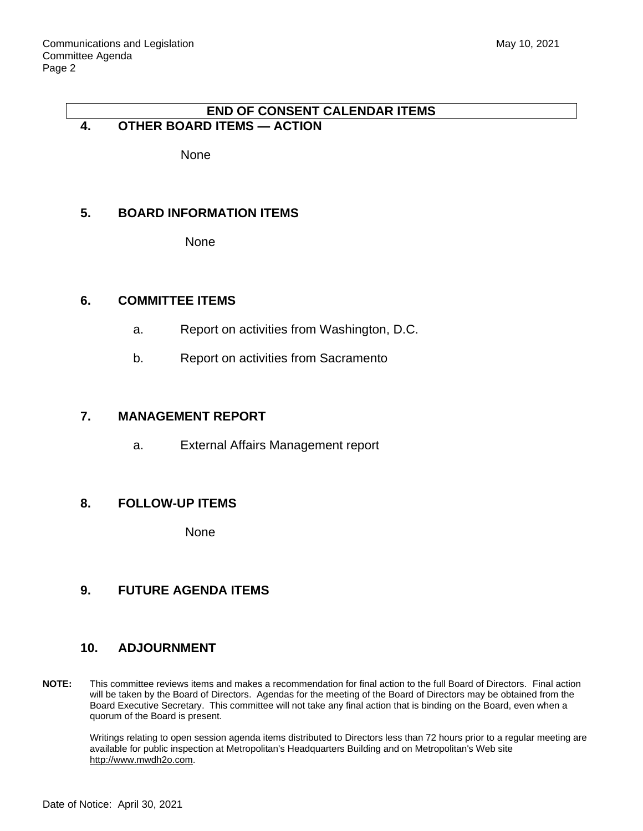#### **END OF CONSENT CALENDAR ITEMS 4. OTHER BOARD ITEMS — ACTION**

None

## **5. BOARD INFORMATION ITEMS**

None

## **6. COMMITTEE ITEMS**

- a. Report on activities from Washington, D.C.
- b. Report on activities from Sacramento

## **7. MANAGEMENT REPORT**

a. External Affairs Management report

#### **8. FOLLOW-UP ITEMS**

None

# **9. FUTURE AGENDA ITEMS**

#### **10. ADJOURNMENT**

**NOTE:** This committee reviews items and makes a recommendation for final action to the full Board of Directors. Final action will be taken by the Board of Directors. Agendas for the meeting of the Board of Directors may be obtained from the Board Executive Secretary. This committee will not take any final action that is binding on the Board, even when a quorum of the Board is present.

Writings relating to open session agenda items distributed to Directors less than 72 hours prior to a regular meeting are available for public inspection at Metropolitan's Headquarters Building and on Metropolitan's Web site http://www.mwdh2o.com.